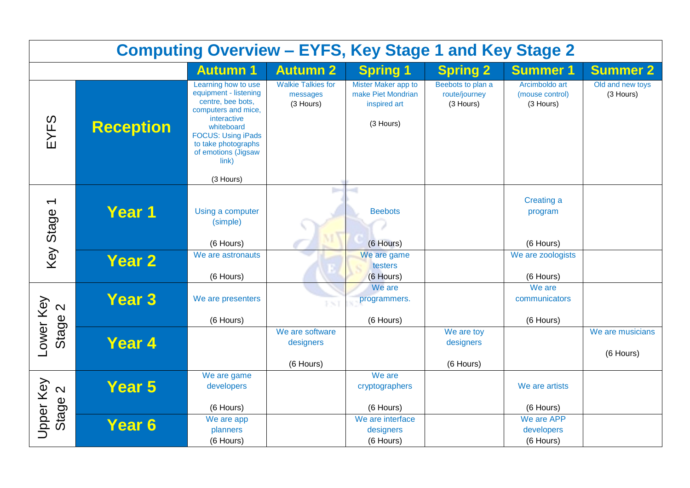| <b>Computing Overview - EYFS, Key Stage 1 and Key Stage 2</b> |                  |                                                                                                                                                                                                                        |                                                    |                                                                        |                                                 |                                                |                               |
|---------------------------------------------------------------|------------------|------------------------------------------------------------------------------------------------------------------------------------------------------------------------------------------------------------------------|----------------------------------------------------|------------------------------------------------------------------------|-------------------------------------------------|------------------------------------------------|-------------------------------|
|                                                               |                  | <b>Autumn 1</b>                                                                                                                                                                                                        | <b>Autumn 2</b>                                    | <b>Spring 1</b>                                                        | <b>Spring 2</b>                                 | <b>Summer 1</b>                                | <b>Summer 2</b>               |
| EYFS                                                          | <b>Reception</b> | Learning how to use<br>equipment - listening<br>centre, bee bots,<br>computers and mice,<br>interactive<br>whiteboard<br><b>FOCUS: Using iPads</b><br>to take photographs<br>of emotions (Jigsaw<br>link)<br>(3 Hours) | <b>Walkie Talkies for</b><br>messages<br>(3 Hours) | Mister Maker app to<br>make Piet Mondrian<br>inspired art<br>(3 Hours) | Beebots to plan a<br>route/journey<br>(3 Hours) | Arcimboldo art<br>(mouse control)<br>(3 Hours) | Old and new toys<br>(3 Hours) |
| $\overline{\phantom{0}}$<br>Key Stage                         | Year 1           | Using a computer<br>(simple)<br>(6 Hours)                                                                                                                                                                              | 17                                                 | -41<br><b>Beebots</b><br>(6 Hours)                                     |                                                 | Creating a<br>program<br>(6 Hours)             |                               |
|                                                               | <b>Year 2</b>    | We are astronauts<br>(6 Hours)                                                                                                                                                                                         |                                                    | We are game<br>testers<br>(6 Hours)                                    |                                                 | We are zoologists<br>(6 Hours)                 |                               |
| $\mathbf{\Omega}$                                             | <b>Year 3</b>    | We are presenters                                                                                                                                                                                                      | PS)                                                | We are<br>programmers.                                                 |                                                 | We are<br>communicators                        |                               |
|                                                               |                  | (6 Hours)                                                                                                                                                                                                              | We are software                                    | (6 Hours)                                                              |                                                 | (6 Hours)                                      |                               |
| Lower Key<br>Stage                                            | Year 4           |                                                                                                                                                                                                                        | designers<br>(6 Hours)                             |                                                                        | We are toy<br>designers<br>(6 Hours)            |                                                | We are musicians<br>(6 Hours) |
| Upper Key<br>$\mathbf{\Omega}$                                | Year 5           | We are game<br>developers<br>(6 Hours)                                                                                                                                                                                 |                                                    | We are<br>cryptographers<br>(6 Hours)                                  |                                                 | We are artists<br>(6 Hours)                    |                               |
| Stage                                                         | Year 6           | We are app<br>planners<br>(6 Hours)                                                                                                                                                                                    |                                                    | We are interface<br>designers<br>(6 Hours)                             |                                                 | We are APP<br>developers<br>(6 Hours)          |                               |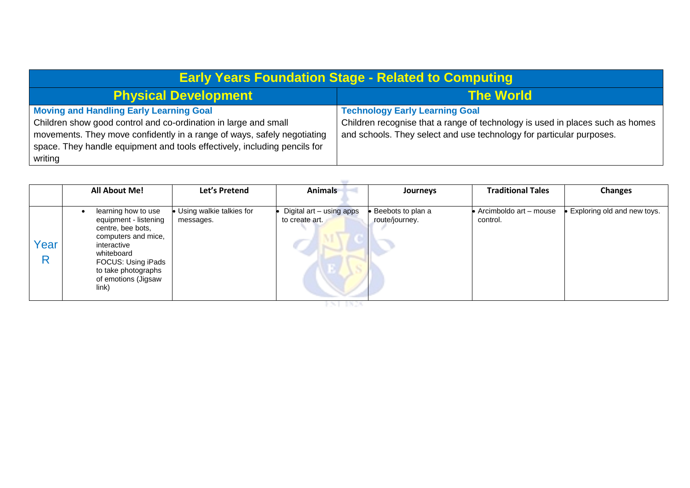| <b>Early Years Foundation Stage - Related to Computing</b>                |                                                                               |  |  |  |
|---------------------------------------------------------------------------|-------------------------------------------------------------------------------|--|--|--|
| <b>Physical Development</b>                                               | <b>The World</b>                                                              |  |  |  |
| <b>Moving and Handling Early Learning Goal</b>                            | <b>Technology Early Learning Goal</b>                                         |  |  |  |
| Children show good control and co-ordination in large and small           | Children recognise that a range of technology is used in places such as homes |  |  |  |
| movements. They move confidently in a range of ways, safely negotiating   | and schools. They select and use technology for particular purposes.          |  |  |  |
| space. They handle equipment and tools effectively, including pencils for |                                                                               |  |  |  |
| writing                                                                   |                                                                               |  |  |  |

|      | <b>All About Me!</b>                                                                                                                                                                               | Let's Pretend                           | <b>Animals</b>                             | Journeys                            | <b>Traditional Tales</b>           | <b>Changes</b>              |
|------|----------------------------------------------------------------------------------------------------------------------------------------------------------------------------------------------------|-----------------------------------------|--------------------------------------------|-------------------------------------|------------------------------------|-----------------------------|
| Year | learning how to use<br>equipment - listening<br>centre, bee bots,<br>computers and mice,<br>interactive<br>whiteboard<br>FOCUS: Using iPads<br>to take photographs<br>of emotions (Jigsaw<br>link) | • Using walkie talkies for<br>messages. | Digital art - using apps<br>to create art. | Beebots to plan a<br>route/journey. | Arcimboldo art - mouse<br>control. | Exploring old and new toys. |

- FST 1828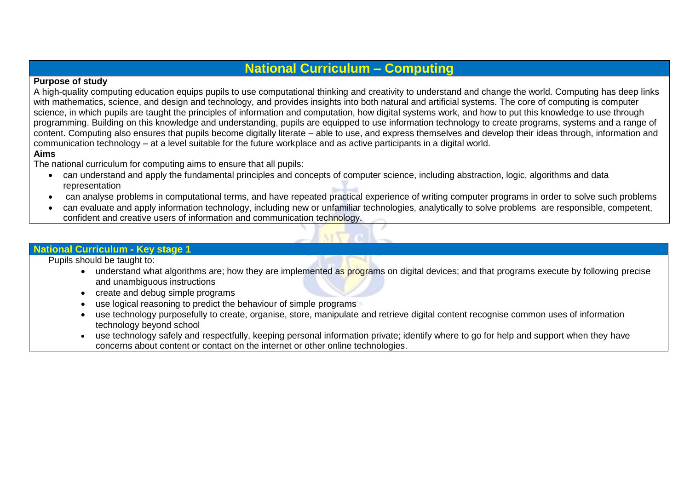## **National Curriculum – Computing**

## **Purpose of study**

A high-quality computing education equips pupils to use computational thinking and creativity to understand and change the world. Computing has deep links with mathematics, science, and design and technology, and provides insights into both natural and artificial systems. The core of computing is computer science, in which pupils are taught the principles of information and computation, how digital systems work, and how to put this knowledge to use through programming. Building on this knowledge and understanding, pupils are equipped to use information technology to create programs, systems and a range of content. Computing also ensures that pupils become digitally literate – able to use, and express themselves and develop their ideas through, information and communication technology – at a level suitable for the future workplace and as active participants in a digital world. **Aims** 

The national curriculum for computing aims to ensure that all pupils:

- can understand and apply the fundamental principles and concepts of computer science, including abstraction, logic, algorithms and data representation
- can analyse problems in computational terms, and have repeated practical experience of writing computer programs in order to solve such problems
- can evaluate and apply information technology, including new or unfamiliar technologies, analytically to solve problems are responsible, competent, confident and creative users of information and communication technology.

## **National Curriculum - Key stage 1**

Pupils should be taught to:

- understand what algorithms are; how they are implemented as programs on digital devices; and that programs execute by following precise and unambiguous instructions
- create and debug simple programs
- use logical reasoning to predict the behaviour of simple programs
- use technology purposefully to create, organise, store, manipulate and retrieve digital content recognise common uses of information technology beyond school
- use technology safely and respectfully, keeping personal information private; identify where to go for help and support when they have concerns about content or contact on the internet or other online technologies.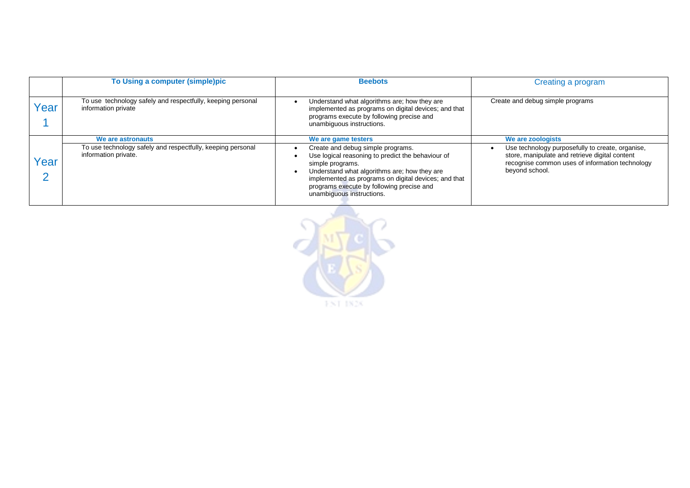|      | To Using a computer (simple)pic                                                     | <b>Beebots</b>                                                                                                                                                                                                                                                                               | Creating a program                                                                                                                                                      |
|------|-------------------------------------------------------------------------------------|----------------------------------------------------------------------------------------------------------------------------------------------------------------------------------------------------------------------------------------------------------------------------------------------|-------------------------------------------------------------------------------------------------------------------------------------------------------------------------|
| 'ear | To use technology safely and respectfully, keeping personal<br>information private  | Understand what algorithms are; how they are<br>implemented as programs on digital devices; and that<br>programs execute by following precise and<br>unambiguous instructions.                                                                                                               | Create and debug simple programs                                                                                                                                        |
|      | We are astronauts                                                                   | We are game testers                                                                                                                                                                                                                                                                          | We are zoologists                                                                                                                                                       |
| 'ear | To use technology safely and respectfully, keeping personal<br>information private. | Create and debug simple programs.<br>Use logical reasoning to predict the behaviour of<br>simple programs.<br>Understand what algorithms are; how they are<br>implemented as programs on digital devices; and that<br>programs execute by following precise and<br>unambiguous instructions. | Use technology purposefully to create, organise,<br>store, manipulate and retrieve digital content<br>recognise common uses of information technology<br>beyond school. |

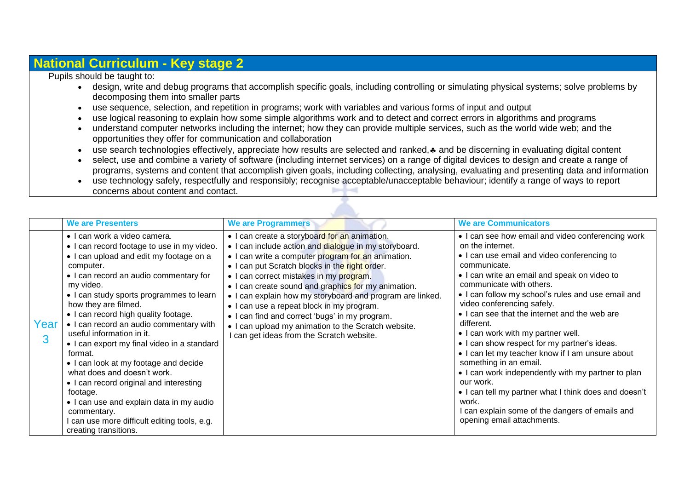## **National Curriculum - Key stage 2**

Pupils should be taught to:

- design, write and debug programs that accomplish specific goals, including controlling or simulating physical systems; solve problems by decomposing them into smaller parts
- use sequence, selection, and repetition in programs; work with variables and various forms of input and output
- use logical reasoning to explain how some simple algorithms work and to detect and correct errors in algorithms and programs
- understand computer networks including the internet; how they can provide multiple services, such as the world wide web; and the opportunities they offer for communication and collaboration
- use search technologies effectively, appreciate how results are selected and ranked,  $\ast$  and be discerning in evaluating digital content
- select, use and combine a variety of software (including internet services) on a range of digital devices to design and create a range of programs, systems and content that accomplish given goals, including collecting, analysing, evaluating and presenting data and information
- use technology safely, respectfully and responsibly; recognise acceptable/unacceptable behaviour; identify a range of ways to report concerns about content and contact.

|           | <b>We are Presenters</b>                                                                                                                                                                                                                                                                                                                                                                                                                                                                                                                                                                                                                                                                                   | <b>We are Programmers</b>                                                                                                                                                                                                                                                                                                                                                                                                                                                                                                                                                        | <b>We are Communicators</b>                                                                                                                                                                                                                                                                                                                                                                                                                                                                                                                                                                                                                                                                                                                                 |
|-----------|------------------------------------------------------------------------------------------------------------------------------------------------------------------------------------------------------------------------------------------------------------------------------------------------------------------------------------------------------------------------------------------------------------------------------------------------------------------------------------------------------------------------------------------------------------------------------------------------------------------------------------------------------------------------------------------------------------|----------------------------------------------------------------------------------------------------------------------------------------------------------------------------------------------------------------------------------------------------------------------------------------------------------------------------------------------------------------------------------------------------------------------------------------------------------------------------------------------------------------------------------------------------------------------------------|-------------------------------------------------------------------------------------------------------------------------------------------------------------------------------------------------------------------------------------------------------------------------------------------------------------------------------------------------------------------------------------------------------------------------------------------------------------------------------------------------------------------------------------------------------------------------------------------------------------------------------------------------------------------------------------------------------------------------------------------------------------|
| Year<br>3 | · I can work a video camera.<br>• I can record footage to use in my video.<br>• I can upload and edit my footage on a<br>computer.<br>• I can record an audio commentary for<br>my video.<br>• I can study sports programmes to learn<br>how they are filmed.<br>• I can record high quality footage.<br>• I can record an audio commentary with<br>useful information in it.<br>• I can export my final video in a standard<br>format.<br>• I can look at my footage and decide<br>what does and doesn't work.<br>• I can record original and interesting<br>footage.<br>• I can use and explain data in my audio<br>commentary.<br>I can use more difficult editing tools, e.g.<br>creating transitions. | • I can create a storyboard for an animation.<br>. I can include action and dialogue in my storyboard.<br>• I can write a computer program for an animation.<br>. I can put Scratch blocks in the right order.<br>• I can correct mistakes in my program.<br>• I can create sound and graphics for my animation.<br>. I can explain how my storyboard and program are linked.<br>• I can use a repeat block in my program.<br>• I can find and correct 'bugs' in my program.<br>• I can upload my animation to the Scratch website.<br>I can get ideas from the Scratch website. | • I can see how email and video conferencing work<br>on the internet.<br>• I can use email and video conferencing to<br>communicate.<br>• I can write an email and speak on video to<br>communicate with others.<br>• I can follow my school's rules and use email and<br>video conferencing safely.<br>• I can see that the internet and the web are<br>different.<br>• I can work with my partner well.<br>. I can show respect for my partner's ideas.<br>. I can let my teacher know if I am unsure about<br>something in an email.<br>• I can work independently with my partner to plan<br>our work.<br>• I can tell my partner what I think does and doesn't<br>work.<br>can explain some of the dangers of emails and<br>opening email attachments. |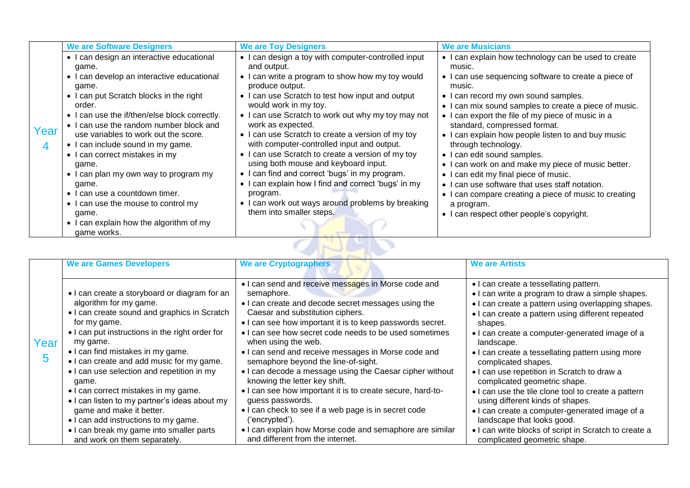|      | <b>We are Software Designers</b>              | <b>We are Toy Designers</b>                         | <b>We are Musicians</b>                               |
|------|-----------------------------------------------|-----------------------------------------------------|-------------------------------------------------------|
|      | • I can design an interactive educational     | • I can design a toy with computer-controlled input | • I can explain how technology can be used to create  |
|      | game.                                         | and output.                                         | music.                                                |
|      | • I can develop an interactive educational    | • I can write a program to show how my toy would    | • I can use sequencing software to create a piece of  |
|      | game.                                         | produce output.                                     | music.                                                |
|      | • I can put Scratch blocks in the right       | • I can use Scratch to test how input and output    | • I can record my own sound samples.                  |
|      | order.                                        | would work in my toy.                               | • I can mix sound samples to create a piece of music. |
|      | • I can use the if/then/else block correctly. | • I can use Scratch to work out why my toy may not  | • I can export the file of my piece of music in a     |
| Year | • I can use the random number block and       | work as expected.                                   | standard, compressed format.                          |
|      | use variables to work out the score.          | • I can use Scratch to create a version of my toy   | • I can explain how people listen to and buy music    |
| 4    | • I can include sound in my game.             | with computer-controlled input and output.          | through technology.                                   |
|      | • I can correct mistakes in my                | • I can use Scratch to create a version of my toy   | • I can edit sound samples.                           |
|      | game.                                         | using both mouse and keyboard input.                | • I can work on and make my piece of music better.    |
|      | • I can plan my own way to program my         | • I can find and correct 'bugs' in my program.      | • I can edit my final piece of music.                 |
|      | game.                                         | • I can explain how I find and correct 'bugs' in my | • I can use software that uses staff notation.        |
|      | • I can use a countdown timer.                | program.                                            | • I can compare creating a piece of music to creating |
|      | • I can use the mouse to control my           | • I can work out ways around problems by breaking   | a program.                                            |
|      | game.                                         | them into smaller steps.                            | • I can respect other people's copyright.             |
|      | • I can explain how the algorithm of my       |                                                     |                                                       |
|      | game works.                                   |                                                     |                                                       |

|           | <b>We are Games Developers</b>                                                                                                                                                                                                                                                                                                                                                                                                                                                                                                                                                           | <b>We are Cryptographers</b>                                                                                                                                                                                                                                                                                                                                                                                                                                                                                                                                                                                                                                                                                                                                     | <b>We are Artists</b>                                                                                                                                                                                                                                                                                                                                                                                                                                                                                                                                                                                                                                                                                          |  |  |  |  |
|-----------|------------------------------------------------------------------------------------------------------------------------------------------------------------------------------------------------------------------------------------------------------------------------------------------------------------------------------------------------------------------------------------------------------------------------------------------------------------------------------------------------------------------------------------------------------------------------------------------|------------------------------------------------------------------------------------------------------------------------------------------------------------------------------------------------------------------------------------------------------------------------------------------------------------------------------------------------------------------------------------------------------------------------------------------------------------------------------------------------------------------------------------------------------------------------------------------------------------------------------------------------------------------------------------------------------------------------------------------------------------------|----------------------------------------------------------------------------------------------------------------------------------------------------------------------------------------------------------------------------------------------------------------------------------------------------------------------------------------------------------------------------------------------------------------------------------------------------------------------------------------------------------------------------------------------------------------------------------------------------------------------------------------------------------------------------------------------------------------|--|--|--|--|
| Year<br>5 | • I can create a storyboard or diagram for an<br>algorithm for my game.<br>• I can create sound and graphics in Scratch<br>for my game.<br>• I can put instructions in the right order for<br>my game.<br>• I can find mistakes in my game.<br>• I can create and add music for my game.<br>• I can use selection and repetition in my<br>game.<br>• I can correct mistakes in my game.<br>• I can listen to my partner's ideas about my<br>game and make it better.<br>• I can add instructions to my game.<br>• I can break my game into smaller parts<br>and work on them separately. | • I can send and receive messages in Morse code and<br>semaphore.<br>• I can create and decode secret messages using the<br>Caesar and substitution ciphers.<br>• I can see how important it is to keep passwords secret.<br>• I can see how secret code needs to be used sometimes<br>when using the web.<br>. I can send and receive messages in Morse code and<br>semaphore beyond the line-of-sight.<br>• I can decode a message using the Caesar cipher without<br>knowing the letter key shift.<br>• I can see how important it is to create secure, hard-to-<br>guess passwords.<br>. I can check to see if a web page is in secret code<br>'encrypted').<br>• I can explain how Morse code and semaphore are similar<br>and different from the internet. | • I can create a tessellating pattern.<br>• I can write a program to draw a simple shapes.<br>• I can create a pattern using overlapping shapes.<br>• I can create a pattern using different repeated<br>shapes.<br>• I can create a computer-generated image of a<br>landscape.<br>• I can create a tessellating pattern using more<br>complicated shapes.<br>• I can use repetition in Scratch to draw a<br>complicated geometric shape.<br>• I can use the tile clone tool to create a pattern<br>using different kinds of shapes.<br>• I can create a computer-generated image of a<br>landscape that looks good.<br>• I can write blocks of script in Scratch to create a<br>complicated geometric shape. |  |  |  |  |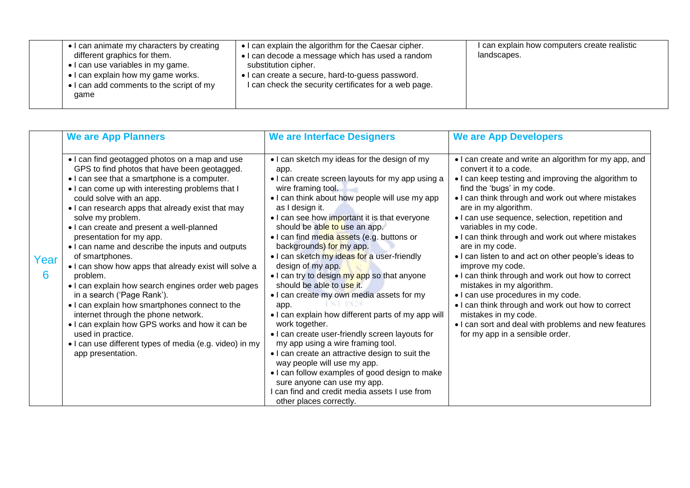| • I can animate my characters by creating<br>different graphics for them.<br>• I can use variables in my game.<br>• I can explain how my game works.<br>• I can add comments to the script of my<br>game | • I can explain the algorithm for the Caesar cipher.<br>• I can decode a message which has used a random<br>substitution cipher.<br>• I can create a secure, hard-to-guess password.<br>I can check the security certificates for a web page. | I can explain how computers create realistic<br>landscapes. |
|----------------------------------------------------------------------------------------------------------------------------------------------------------------------------------------------------------|-----------------------------------------------------------------------------------------------------------------------------------------------------------------------------------------------------------------------------------------------|-------------------------------------------------------------|
|----------------------------------------------------------------------------------------------------------------------------------------------------------------------------------------------------------|-----------------------------------------------------------------------------------------------------------------------------------------------------------------------------------------------------------------------------------------------|-------------------------------------------------------------|

|           | <b>We are App Planners</b>                                                                                                                                                                                                                                                                                                                                                                                                                                                                                                                                                                                                                                                                                                                                                                                                                                         | <b>We are Interface Designers</b>                                                                                                                                                                                                                                                                                                                                                                                                                                                                                                                                                                                                                                                                                                                                                                                                                                                                                                                                                 | <b>We are App Developers</b>                                                                                                                                                                                                                                                                                                                                                                                                                                                                                                                                                                                                                                                                                                                                                      |
|-----------|--------------------------------------------------------------------------------------------------------------------------------------------------------------------------------------------------------------------------------------------------------------------------------------------------------------------------------------------------------------------------------------------------------------------------------------------------------------------------------------------------------------------------------------------------------------------------------------------------------------------------------------------------------------------------------------------------------------------------------------------------------------------------------------------------------------------------------------------------------------------|-----------------------------------------------------------------------------------------------------------------------------------------------------------------------------------------------------------------------------------------------------------------------------------------------------------------------------------------------------------------------------------------------------------------------------------------------------------------------------------------------------------------------------------------------------------------------------------------------------------------------------------------------------------------------------------------------------------------------------------------------------------------------------------------------------------------------------------------------------------------------------------------------------------------------------------------------------------------------------------|-----------------------------------------------------------------------------------------------------------------------------------------------------------------------------------------------------------------------------------------------------------------------------------------------------------------------------------------------------------------------------------------------------------------------------------------------------------------------------------------------------------------------------------------------------------------------------------------------------------------------------------------------------------------------------------------------------------------------------------------------------------------------------------|
| Year<br>6 | • I can find geotagged photos on a map and use<br>GPS to find photos that have been geotagged.<br>• I can see that a smartphone is a computer.<br>. I can come up with interesting problems that I<br>could solve with an app.<br>• I can research apps that already exist that may<br>solve my problem.<br>. I can create and present a well-planned<br>presentation for my app.<br>• I can name and describe the inputs and outputs<br>of smartphones.<br>. I can show how apps that already exist will solve a<br>problem.<br>. I can explain how search engines order web pages<br>in a search ('Page Rank').<br>. I can explain how smartphones connect to the<br>internet through the phone network.<br>. I can explain how GPS works and how it can be<br>used in practice.<br>• I can use different types of media (e.g. video) in my<br>app presentation. | • I can sketch my ideas for the design of my<br>app.<br>• I can create screen layouts for my app using a<br>wire framing tool.<br>• I can think about how people will use my app<br>as I design it.<br>• I can see how important it is that everyone<br>should be able to use an app.<br>. I can find media assets (e.g. buttons or<br>backgrounds) for my app.<br>. I can sketch my ideas for a user-friendly<br>design of my app.<br>. I can try to design my app so that anyone<br>should be able to use it.<br>. I can create my own media assets for my<br>app.<br>• I can explain how different parts of my app will<br>work together.<br>. I can create user-friendly screen layouts for<br>my app using a wire framing tool.<br>. I can create an attractive design to suit the<br>way people will use my app.<br>• I can follow examples of good design to make<br>sure anyone can use my app.<br>can find and credit media assets I use from<br>other places correctly. | • I can create and write an algorithm for my app, and<br>convert it to a code.<br>• I can keep testing and improving the algorithm to<br>find the 'bugs' in my code.<br>. I can think through and work out where mistakes<br>are in my algorithm.<br>• I can use sequence, selection, repetition and<br>variables in my code.<br>• I can think through and work out where mistakes<br>are in my code.<br>. I can listen to and act on other people's ideas to<br>improve my code.<br>• I can think through and work out how to correct<br>mistakes in my algorithm.<br>• I can use procedures in my code.<br>• I can think through and work out how to correct<br>mistakes in my code.<br>• I can sort and deal with problems and new features<br>for my app in a sensible order. |